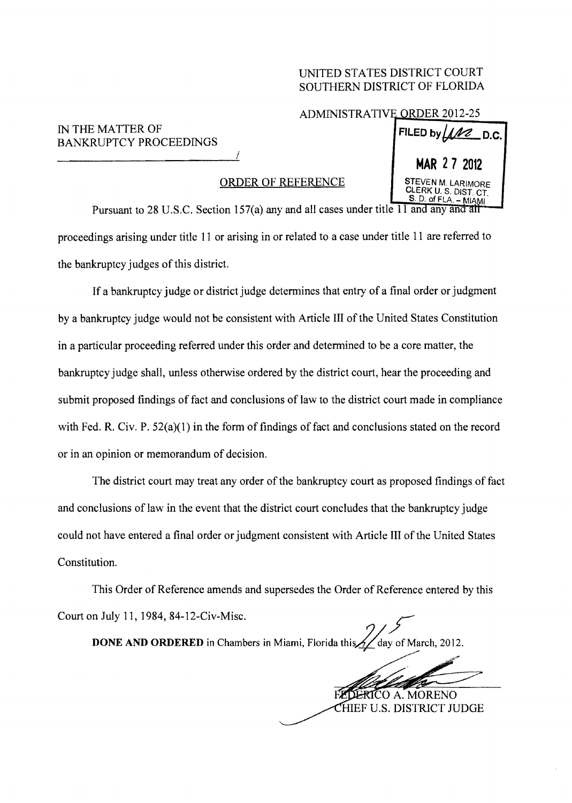## UNITED STATES DISTRICT COURT SOUTHERN DISTRICT OF FLORIDA

## ADMINISTRATIVE ORDER 2012

## IN THE MATTER OF  $\begin{bmatrix} \text{FILED by} \end{bmatrix}$ BANKRUPTCY PROCEEDINGS

## ORDER OF REF

|                                                             | <b>MAR 27 2012</b>                                                   |
|-------------------------------------------------------------|----------------------------------------------------------------------|
| DER OF REFERENCE                                            | STEVEN M. LARIMORE<br>CLERK U.S. DIST. CT.<br>$S. D. of FLA. - MIAM$ |
| $157(a)$ any and all cases under title $11$ and any and all |                                                                      |

Pursuant to 28 U.S.C. Section 157(a) any and proceedings arising under title 11 or arising in or related to a case under title 11 are referred to the bankruptcy judges of this district.

If a bankruptcy judge or district judge determines that entry of a final order or judgment by a bankruptcy judge would not be consistent with Article III of the United States Constitution in a particular proceeding referred under this order and determined to be a core matter, the bankruptcy judge shall, unless otherwise ordered by the district court, hear the proceeding and submit proposed findings of fact and conclusions of law to the district court made in compliance with Fed. R. Civ. P.  $52(a)(1)$  in the form of findings of fact and conclusions stated on the record or in an opinion or memorandum of decision.

The district court may treat any order of the bankruptcy court as proposed findings of fact and conclusions of law in the event that the district court concludes that the bankruptcy judge could not have entered a final order or judgment consistent with Article III of the United States Constitution.

This Order of Reference amends and supersedes the Order of Reference entered by this Court on July 11, 1984, 84-12-Civ-Misc.

**DONE AND ORDERED** in Chambers in Miami, Florida this  $\frac{1}{2}$  day of March, 2012.

--- COA.MORENO

HIEF U.S. DISTRlCT JUDGE